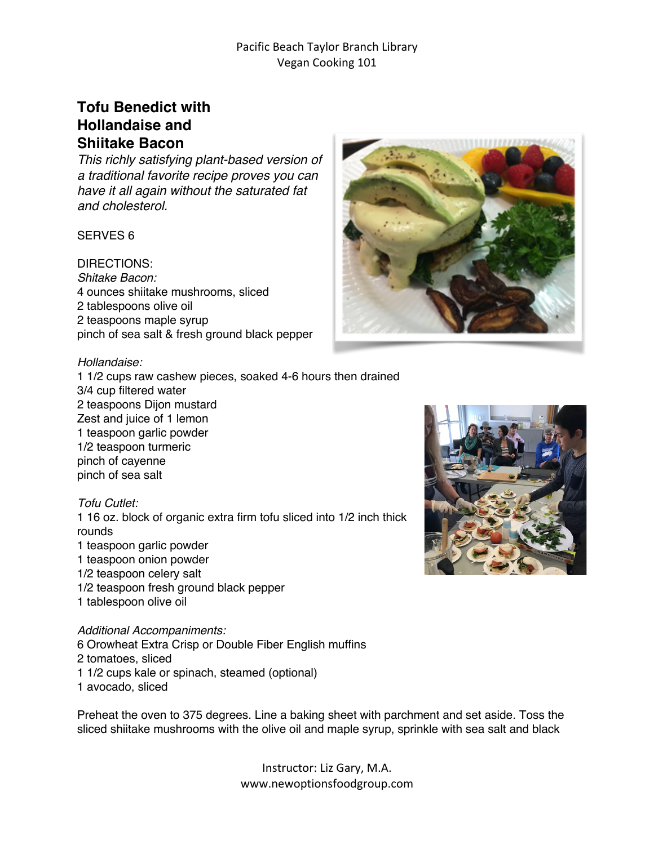## Pacific Beach Taylor Branch Library Vegan Cooking 101

## **Tofu Benedict with Hollandaise and Shiitake Bacon**

*This richly satisfying plant-based version of a traditional favorite recipe proves you can have it all again without the saturated fat and cholesterol.* 

## SERVES 6

DIRECTIONS: *Shitake Bacon:* 4 ounces shiitake mushrooms, sliced 2 tablespoons olive oil 2 teaspoons maple syrup pinch of sea salt & fresh ground black pepper



#### *Hollandaise:*

1 1/2 cups raw cashew pieces, soaked 4-6 hours then drained 3/4 cup filtered water 2 teaspoons Dijon mustard Zest and juice of 1 lemon 1 teaspoon garlic powder 1/2 teaspoon turmeric pinch of cayenne pinch of sea salt

#### *Tofu Cutlet:*

1 16 oz. block of organic extra firm tofu sliced into 1/2 inch thick rounds 1 teaspoon garlic powder 1 teaspoon onion powder 1/2 teaspoon celery salt 1/2 teaspoon fresh ground black pepper 1 tablespoon olive oil

*Additional Accompaniments:* 6 Orowheat Extra Crisp or Double Fiber English muffins 2 tomatoes, sliced 1 1/2 cups kale or spinach, steamed (optional) 1 avocado, sliced

Preheat the oven to 375 degrees. Line a baking sheet with parchment and set aside. Toss the sliced shiitake mushrooms with the olive oil and maple syrup, sprinkle with sea salt and black



Instructor: Liz Gary, M.A. www.newoptionsfoodgroup.com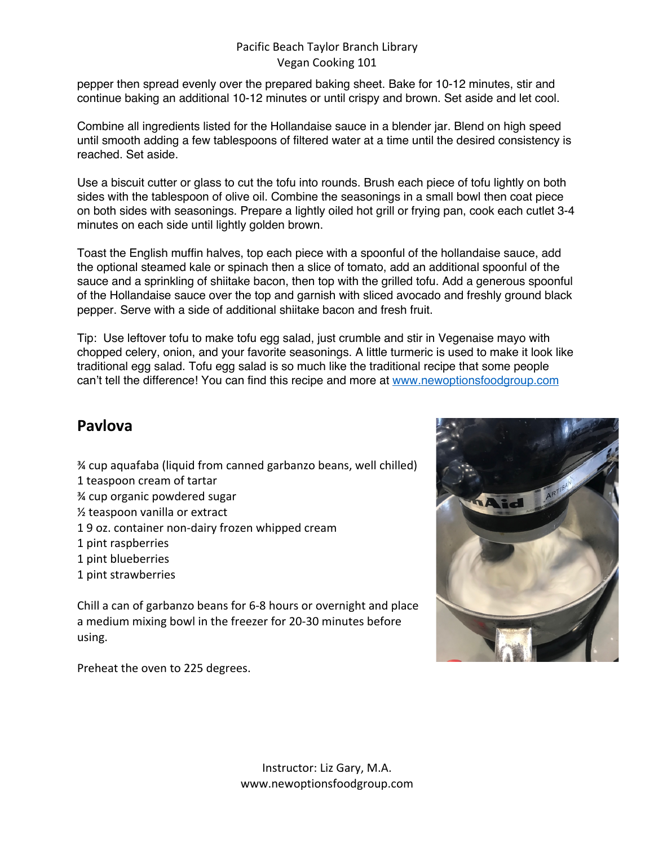## Pacific Beach Taylor Branch Library Vegan Cooking 101

pepper then spread evenly over the prepared baking sheet. Bake for 10-12 minutes, stir and continue baking an additional 10-12 minutes or until crispy and brown. Set aside and let cool.

Combine all ingredients listed for the Hollandaise sauce in a blender jar. Blend on high speed until smooth adding a few tablespoons of filtered water at a time until the desired consistency is reached. Set aside.

Use a biscuit cutter or glass to cut the tofu into rounds. Brush each piece of tofu lightly on both sides with the tablespoon of olive oil. Combine the seasonings in a small bowl then coat piece on both sides with seasonings. Prepare a lightly oiled hot grill or frying pan, cook each cutlet 3-4 minutes on each side until lightly golden brown.

Toast the English muffin halves, top each piece with a spoonful of the hollandaise sauce, add the optional steamed kale or spinach then a slice of tomato, add an additional spoonful of the sauce and a sprinkling of shiitake bacon, then top with the grilled tofu. Add a generous spoonful of the Hollandaise sauce over the top and garnish with sliced avocado and freshly ground black pepper. Serve with a side of additional shiitake bacon and fresh fruit.

Tip: Use leftover tofu to make tofu egg salad, just crumble and stir in Vegenaise mayo with chopped celery, onion, and your favorite seasonings. A little turmeric is used to make it look like traditional egg salad. Tofu egg salad is so much like the traditional recipe that some people can't tell the difference! You can find this recipe and more at www.newoptionsfoodgroup.com

# **Pavlova**

- ¾ cup aquafaba (liquid from canned garbanzo beans, well chilled)
- 1 teaspoon cream of tartar
- ¾ cup organic powdered sugar
- ½ teaspoon vanilla or extract
- 1 9 oz. container non-dairy frozen whipped cream
- 1 pint raspberries
- 1 pint blueberries
- 1 pint strawberries

Chill a can of garbanzo beans for 6-8 hours or overnight and place a medium mixing bowl in the freezer for 20-30 minutes before using.

Preheat the oven to 225 degrees.